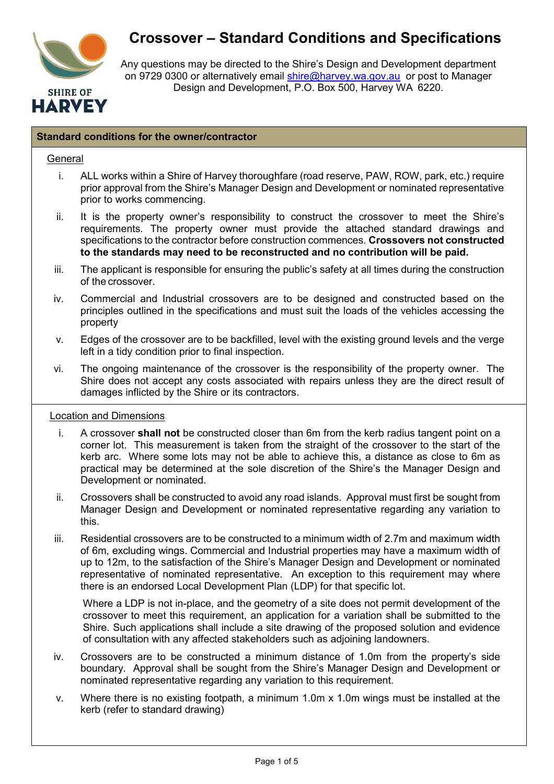

# **Crossover – Standard Conditions and Specifications**

Any questions may be directed to the Shire's Design and Development department on 9729 0300 or alternatively email [shire@harvey.wa.gov.au](mailto:shire@harvey.wa.gov.au) or post to Manager Design and Development, P.O. Box 500, Harvey WA 6220.

#### **Standard conditions for the owner/contractor**

#### **General**

- i. ALL works within a Shire of Harvey thoroughfare (road reserve, PAW, ROW, park, etc.) require prior approval from the Shire's Manager Design and Development or nominated representative prior to works commencing.
- ii. It is the property owner's responsibility to construct the crossover to meet the Shire's requirements. The property owner must provide the attached standard drawings and specifications to the contractor before construction commences. **Crossovers not constructed to the standards may need to be reconstructed and no contribution will be paid.**
- iii. The applicant is responsible for ensuring the public's safety at all times during the construction of the crossover.
- iv. Commercial and Industrial crossovers are to be designed and constructed based on the principles outlined in the specifications and must suit the loads of the vehicles accessing the property
- v. Edges of the crossover are to be backfilled, level with the existing ground levels and the verge left in a tidy condition prior to final inspection.
- vi. The ongoing maintenance of the crossover is the responsibility of the property owner. The Shire does not accept any costs associated with repairs unless they are the direct result of damages inflicted by the Shire or its contractors.

#### Location and Dimensions

- i. A crossover **shall not** be constructed closer than 6m from the kerb radius tangent point on a corner lot. This measurement is taken from the straight of the crossover to the start of the kerb arc. Where some lots may not be able to achieve this, a distance as close to 6m as practical may be determined at the sole discretion of the Shire's the Manager Design and Development or nominated.
- ii. Crossovers shall be constructed to avoid any road islands. Approval must first be sought from Manager Design and Development or nominated representative regarding any variation to this.
- iii. Residential crossovers are to be constructed to a minimum width of 2.7m and maximum width of 6m, excluding wings. Commercial and Industrial properties may have a maximum width of up to 12m, to the satisfaction of the Shire's Manager Design and Development or nominated representative of nominated representative. An exception to this requirement may where there is an endorsed Local Development Plan (LDP) for that specific lot.

Where a LDP is not in-place, and the geometry of a site does not permit development of the crossover to meet this requirement, an application for a variation shall be submitted to the Shire. Such applications shall include a site drawing of the proposed solution and evidence of consultation with any affected stakeholders such as adjoining landowners.

- iv. Crossovers are to be constructed a minimum distance of 1.0m from the property's side boundary. Approval shall be sought from the Shire's Manager Design and Development or nominated representative regarding any variation to this requirement.
- v. Where there is no existing footpath, a minimum 1.0m x 1.0m wings must be installed at the kerb (refer to standard drawing)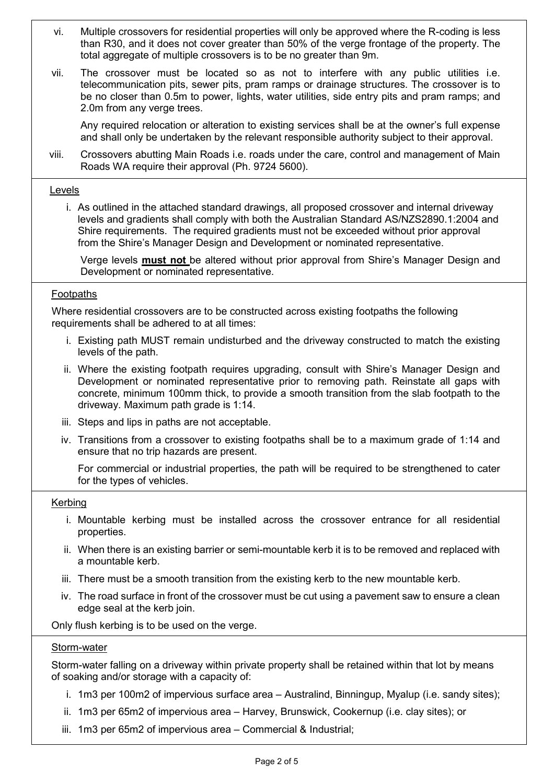- vi. Multiple crossovers for residential properties will only be approved where the R-coding is less than R30, and it does not cover greater than 50% of the verge frontage of the property. The total aggregate of multiple crossovers is to be no greater than 9m.
- vii. The crossover must be located so as not to interfere with any public utilities i.e. telecommunication pits, sewer pits, pram ramps or drainage structures. The crossover is to be no closer than 0.5m to power, lights, water utilities, side entry pits and pram ramps; and 2.0m from any verge trees.

Any required relocation or alteration to existing services shall be at the owner's full expense and shall only be undertaken by the relevant responsible authority subject to their approval.

viii. Crossovers abutting Main Roads i.e. roads under the care, control and management of Main Roads WA require their approval (Ph. 9724 5600).

#### Levels

i. As outlined in the attached standard drawings, all proposed crossover and internal driveway levels and gradients shall comply with both the Australian Standard AS/NZS2890.1:2004 and Shire requirements. The required gradients must not be exceeded without prior approval from the Shire's Manager Design and Development or nominated representative.

Verge levels **must not** be altered without prior approval from Shire's Manager Design and Development or nominated representative.

## Footpaths

Where residential crossovers are to be constructed across existing footpaths the following requirements shall be adhered to at all times:

- i. Existing path MUST remain undisturbed and the driveway constructed to match the existing levels of the path.
- ii. Where the existing footpath requires upgrading, consult with Shire's Manager Design and Development or nominated representative prior to removing path. Reinstate all gaps with concrete, minimum 100mm thick, to provide a smooth transition from the slab footpath to the driveway. Maximum path grade is 1:14.
- iii. Steps and lips in paths are not acceptable.
- iv. Transitions from a crossover to existing footpaths shall be to a maximum grade of 1:14 and ensure that no trip hazards are present.

For commercial or industrial properties, the path will be required to be strengthened to cater for the types of vehicles.

#### Kerbing

- i. Mountable kerbing must be installed across the crossover entrance for all residential properties.
- ii. When there is an existing barrier or semi-mountable kerb it is to be removed and replaced with a mountable kerb.
- iii. There must be a smooth transition from the existing kerb to the new mountable kerb.
- iv. The road surface in front of the crossover must be cut using a pavement saw to ensure a clean edge seal at the kerb join.

Only flush kerbing is to be used on the verge.

#### Storm-water

Storm-water falling on a driveway within private property shall be retained within that lot by means of soaking and/or storage with a capacity of:

- i. 1m3 per 100m2 of impervious surface area Australind, Binningup, Myalup (i.e. sandy sites);
- ii. 1m3 per 65m2 of impervious area Harvey, Brunswick, Cookernup (i.e. clay sites); or
- iii. 1m3 per 65m2 of impervious area Commercial & Industrial;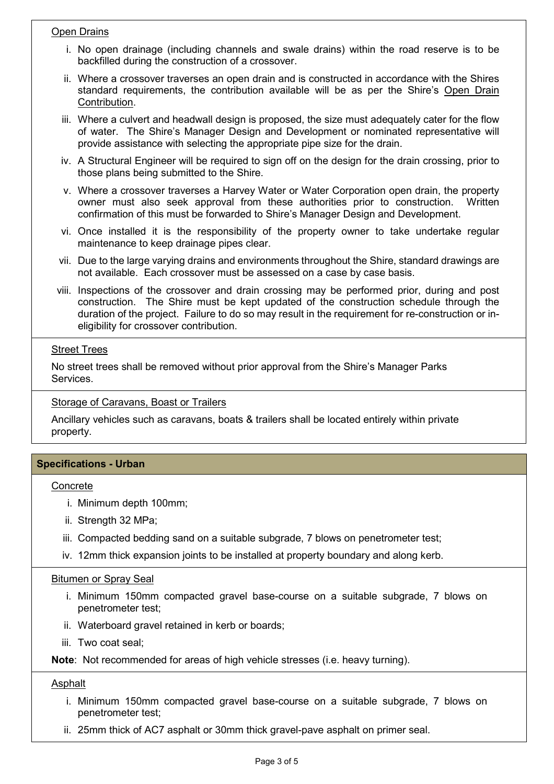## Open Drains

- i. No open drainage (including channels and swale drains) within the road reserve is to be backfilled during the construction of a crossover.
- ii. Where a crossover traverses an open drain and is constructed in accordance with the Shires standard requirements, the contribution available will be as per the Shire's Open Drain Contribution.
- iii. Where a culvert and headwall design is proposed, the size must adequately cater for the flow of water. The Shire's Manager Design and Development or nominated representative will provide assistance with selecting the appropriate pipe size for the drain.
- iv. A Structural Engineer will be required to sign off on the design for the drain crossing, prior to those plans being submitted to the Shire.
- v. Where a crossover traverses a Harvey Water or Water Corporation open drain, the property owner must also seek approval from these authorities prior to construction. Written confirmation of this must be forwarded to Shire's Manager Design and Development.
- vi. Once installed it is the responsibility of the property owner to take undertake regular maintenance to keep drainage pipes clear.
- vii. Due to the large varying drains and environments throughout the Shire, standard drawings are not available. Each crossover must be assessed on a case by case basis.
- viii. Inspections of the crossover and drain crossing may be performed prior, during and post construction. The Shire must be kept updated of the construction schedule through the duration of the project. Failure to do so may result in the requirement for re-construction or ineligibility for crossover contribution.

## **Street Trees**

No street trees shall be removed without prior approval from the Shire's Manager Parks Services.

**Storage of Caravans, Boast or Trailers** 

Ancillary vehicles such as caravans, boats & trailers shall be located entirely within private property.

# **Specifications - Urban**

## **Concrete**

- i. Minimum depth 100mm;
- ii. Strength 32 MPa;
- iii. Compacted bedding sand on a suitable subgrade, 7 blows on penetrometer test;
- iv. 12mm thick expansion joints to be installed at property boundary and along kerb.

#### Bitumen or Spray Seal

- i. Minimum 150mm compacted gravel base-course on a suitable subgrade, 7 blows on penetrometer test;
- ii. Waterboard gravel retained in kerb or boards;
- iii. Two coat seal;

**Note**: Not recommended for areas of high vehicle stresses (i.e. heavy turning).

## Asphalt

- i. Minimum 150mm compacted gravel base-course on a suitable subgrade, 7 blows on penetrometer test;
- ii. 25mm thick of AC7 asphalt or 30mm thick gravel-pave asphalt on primer seal.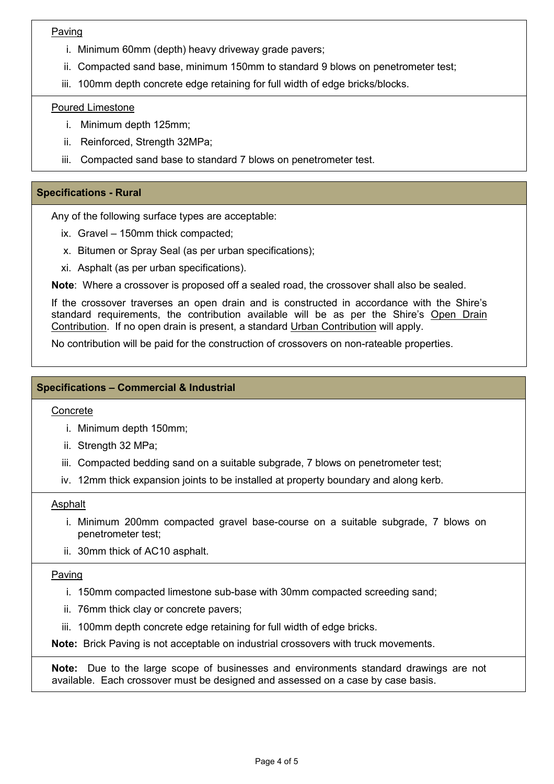# Paving

- i. Minimum 60mm (depth) heavy driveway grade pavers;
- ii. Compacted sand base, minimum 150mm to standard 9 blows on penetrometer test;
- iii. 100mm depth concrete edge retaining for full width of edge bricks/blocks.

# Poured Limestone

- i. Minimum depth 125mm;
- ii. Reinforced, Strength 32MPa;
- iii. Compacted sand base to standard 7 blows on penetrometer test.

# **Specifications - Rural**

Any of the following surface types are acceptable:

- ix. Gravel 150mm thick compacted;
- x. Bitumen or Spray Seal (as per urban specifications);
- xi. Asphalt (as per urban specifications).

**Note**: Where a crossover is proposed off a sealed road, the crossover shall also be sealed.

If the crossover traverses an open drain and is constructed in accordance with the Shire's standard requirements, the contribution available will be as per the Shire's Open Drain Contribution. If no open drain is present, a standard Urban Contribution will apply.

No contribution will be paid for the construction of crossovers on non-rateable properties.

# **Specifications – Commercial & Industrial**

## Concrete

- i. Minimum depth 150mm;
- ii. Strength 32 MPa;
- iii. Compacted bedding sand on a suitable subgrade, 7 blows on penetrometer test;
- iv. 12mm thick expansion joints to be installed at property boundary and along kerb.

## Asphalt

- i. Minimum 200mm compacted gravel base-course on a suitable subgrade, 7 blows on penetrometer test;
- ii. 30mm thick of AC10 asphalt.

#### Paving

- i. 150mm compacted limestone sub-base with 30mm compacted screeding sand;
- ii. 76mm thick clay or concrete pavers;
- iii. 100mm depth concrete edge retaining for full width of edge bricks.

**Note:** Brick Paving is not acceptable on industrial crossovers with truck movements.

**Note:** Due to the large scope of businesses and environments standard drawings are not available. Each crossover must be designed and assessed on a case by case basis.